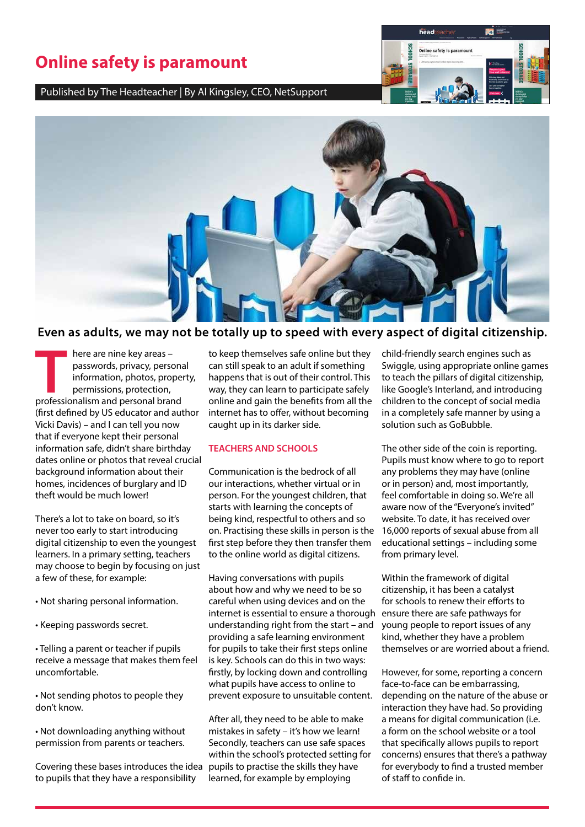# **Online safety is paramount**

Published by The Headteacher | By Al Kingsley, CEO, NetSupport





## **Even as adults, we may not be totally up to speed with every aspect of digital citizenship.**

**THE HERE ARE A HERE ARE SERVIS CONCRETENT**<br> **THE ASSESSION** information, photos, prope<br>
permissions, protection,<br>
professionalism and personal brand passwords, privacy, personal information, photos, property, permissions, protection, (first defined by US educator and author Vicki Davis) – and I can tell you now that if everyone kept their personal information safe, didn't share birthday dates online or photos that reveal crucial background information about their homes, incidences of burglary and ID theft would be much lower!

There's a lot to take on board, so it's never too early to start introducing digital citizenship to even the youngest learners. In a primary setting, teachers may choose to begin by focusing on just a few of these, for example:

- Not sharing personal information.
- Keeping passwords secret.

• Telling a parent or teacher if pupils receive a message that makes them feel uncomfortable.

• Not sending photos to people they don't know.

• Not downloading anything without permission from parents or teachers.

Covering these bases introduces the idea to pupils that they have a responsibility

to keep themselves safe online but they can still speak to an adult if something happens that is out of their control. This way, they can learn to participate safely online and gain the benefits from all the internet has to offer, without becoming caught up in its darker side.

#### **TEACHERS AND SCHOOLS**

Communication is the bedrock of all our interactions, whether virtual or in person. For the youngest children, that starts with learning the concepts of being kind, respectful to others and so on. Practising these skills in person is the first step before they then transfer them to the online world as digital citizens.

Having conversations with pupils about how and why we need to be so careful when using devices and on the internet is essential to ensure a thorough understanding right from the start – and providing a safe learning environment for pupils to take their first steps online is key. Schools can do this in two ways: firstly, by locking down and controlling what pupils have access to online to prevent exposure to unsuitable content.

After all, they need to be able to make mistakes in safety – it's how we learn! Secondly, teachers can use safe spaces within the school's protected setting for pupils to practise the skills they have learned, for example by employing

child-friendly search engines such as Swiggle, using appropriate online games to teach the pillars of digital citizenship, like Google's Interland, and introducing children to the concept of social media in a completely safe manner by using a solution such as GoBubble.

The other side of the coin is reporting. Pupils must know where to go to report any problems they may have (online or in person) and, most importantly, feel comfortable in doing so. We're all aware now of the "Everyone's invited" website. To date, it has received over 16,000 reports of sexual abuse from all educational settings – including some from primary level.

Within the framework of digital citizenship, it has been a catalyst for schools to renew their efforts to ensure there are safe pathways for young people to report issues of any kind, whether they have a problem themselves or are worried about a friend.

However, for some, reporting a concern face-to-face can be embarrassing, depending on the nature of the abuse or interaction they have had. So providing a means for digital communication (i.e. a form on the school website or a tool that specifically allows pupils to report concerns) ensures that there's a pathway for everybody to find a trusted member of staff to confide in.